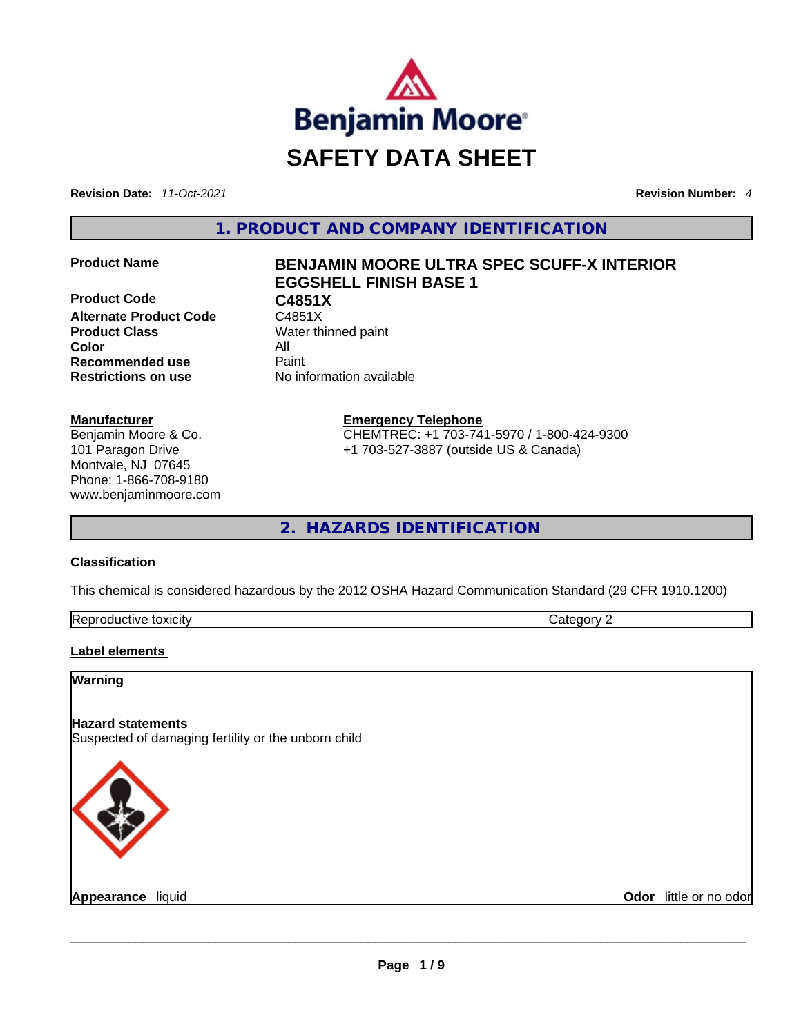

**Revision Date:** *11-Oct-2021* **Revision Number:** *4*

**1. PRODUCT AND COMPANY IDENTIFICATION** 

**Product Code C4851X**<br>**Alternate Product Code** C4851X **Alternate Product Code Product Class Water thinned paint Color** All **Recommended use All Property Recommended use Restrictions on use** No information available

## **Manufacturer**

Benjamin Moore & Co. 101 Paragon Drive Montvale, NJ 07645 Phone: 1-866-708-9180 www.benjaminmoore.com

# **Product Name BENJAMIN MOORE ULTRA SPEC SCUFF-X INTERIOR EGGSHELL FINISH BASE 1**

**Emergency Telephone** CHEMTREC: +1 703-741-5970 / 1-800-424-9300 +1 703-527-3887 (outside US & Canada)

**2. HAZARDS IDENTIFICATION** 

## **Classification**

This chemical is considered hazardous by the 2012 OSHA Hazard Communication Standard (29 CFR 1910.1200)

| Reprod<br>toxicity<br>Jductive ** | ----<br>,,,,, |
|-----------------------------------|---------------|
|                                   |               |

## **Label elements**

**Warning** 

## **Hazard statements**

Suspected of damaging fertility or the unborn child



**Appearance** liquid **Odor** little or no odor \_\_\_\_\_\_\_\_\_\_\_\_\_\_\_\_\_\_\_\_\_\_\_\_\_\_\_\_\_\_\_\_\_\_\_\_\_\_\_\_\_\_\_\_\_\_\_\_\_\_\_\_\_\_\_\_\_\_\_\_\_\_\_\_\_\_\_\_\_\_\_\_\_\_\_\_\_\_\_\_\_\_\_\_\_\_\_\_\_\_\_\_\_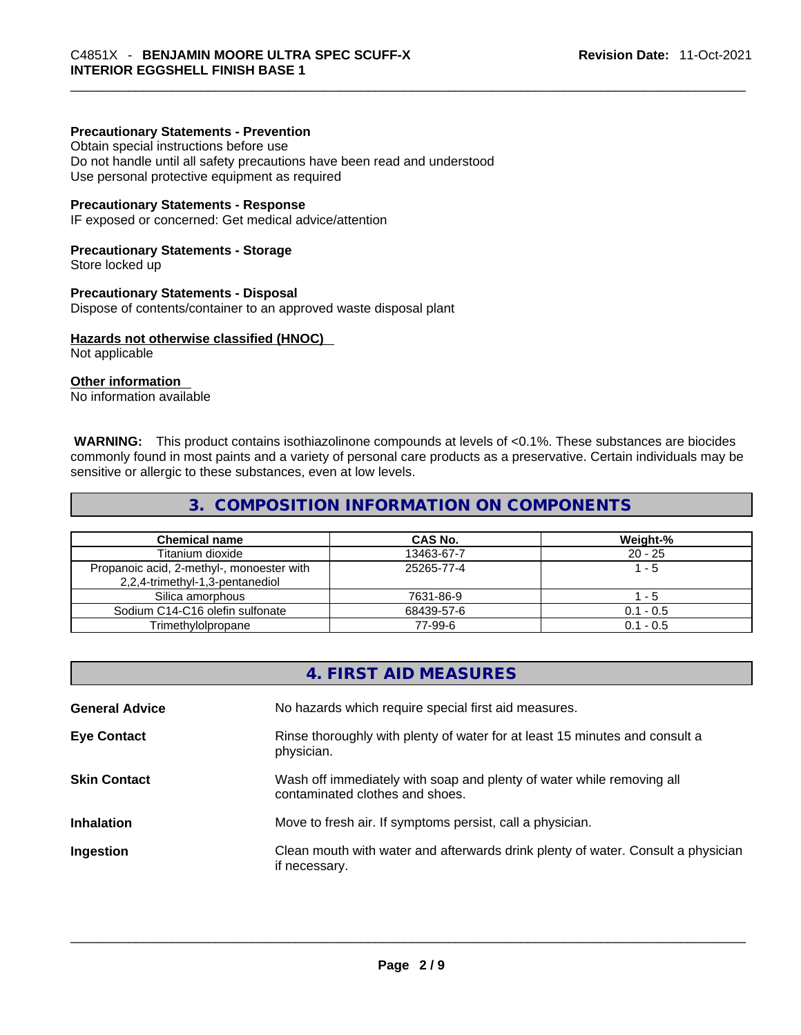#### **Precautionary Statements - Prevention**

Obtain special instructions before use Do not handle until all safety precautions have been read and understood Use personal protective equipment as required

#### **Precautionary Statements - Response**

IF exposed or concerned: Get medical advice/attention

#### **Precautionary Statements - Storage**

Store locked up

#### **Precautionary Statements - Disposal**

Dispose of contents/container to an approved waste disposal plant

#### **Hazards not otherwise classified (HNOC)**

Not applicable

## **Other information**

No information available

 **WARNING:** This product contains isothiazolinone compounds at levels of <0.1%. These substances are biocides commonly found in most paints and a variety of personal care products as a preservative. Certain individuals may be sensitive or allergic to these substances, even at low levels.

## **3. COMPOSITION INFORMATION ON COMPONENTS**

| <b>Chemical name</b>                                                         | CAS No.    | Weight-%    |
|------------------------------------------------------------------------------|------------|-------------|
| Titanium dioxide                                                             | 13463-67-7 | $20 - 25$   |
| Propanoic acid, 2-methyl-, monoester with<br>2,2,4-trimethyl-1,3-pentanediol | 25265-77-4 | $1 - 5$     |
| Silica amorphous                                                             | 7631-86-9  | - 5         |
| Sodium C14-C16 olefin sulfonate                                              | 68439-57-6 | $0.1 - 0.5$ |
| Trimethylolpropane                                                           | 77-99-6    | $0.1 - 0.5$ |

|                       | 4. FIRST AID MEASURES                                                                                    |
|-----------------------|----------------------------------------------------------------------------------------------------------|
| <b>General Advice</b> | No hazards which require special first aid measures.                                                     |
| <b>Eye Contact</b>    | Rinse thoroughly with plenty of water for at least 15 minutes and consult a<br>physician.                |
| <b>Skin Contact</b>   | Wash off immediately with soap and plenty of water while removing all<br>contaminated clothes and shoes. |
| <b>Inhalation</b>     | Move to fresh air. If symptoms persist, call a physician.                                                |
| Ingestion             | Clean mouth with water and afterwards drink plenty of water. Consult a physician<br>if necessary.        |
|                       |                                                                                                          |
|                       |                                                                                                          |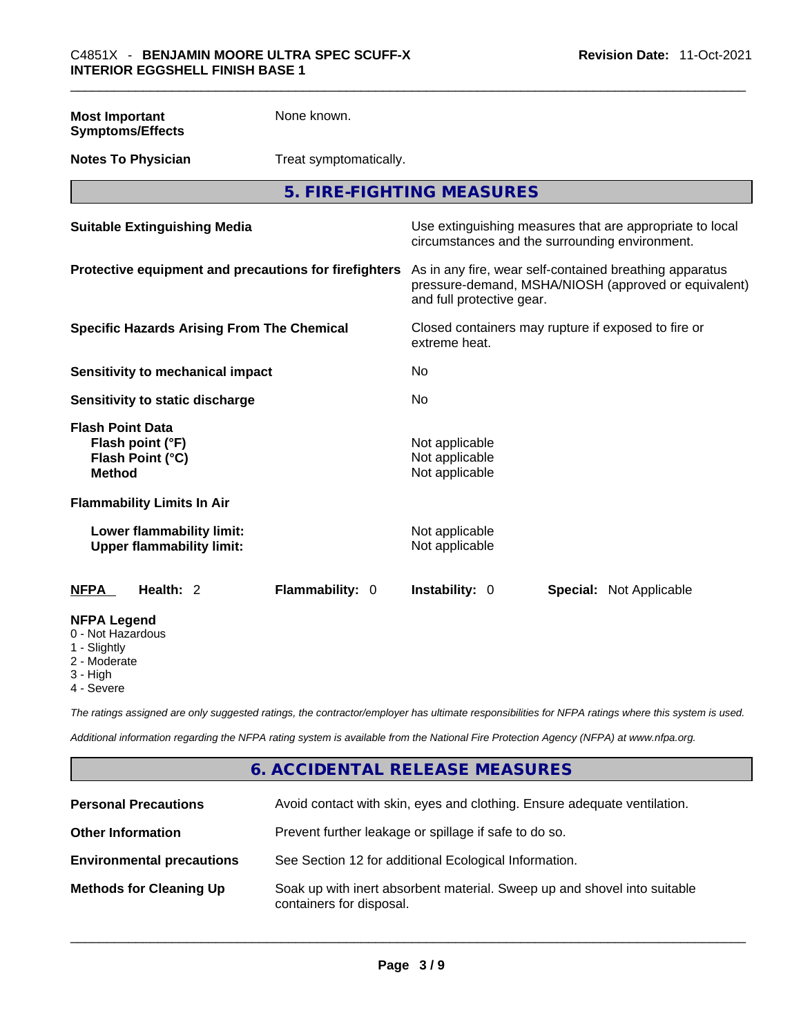| <b>Most Important</b>                                   | <b>Symptoms/Effects</b>                                         | None known.                                                                                                                                  |                                                    |  |                                                          |
|---------------------------------------------------------|-----------------------------------------------------------------|----------------------------------------------------------------------------------------------------------------------------------------------|----------------------------------------------------|--|----------------------------------------------------------|
|                                                         | <b>Notes To Physician</b>                                       | Treat symptomatically.                                                                                                                       |                                                    |  |                                                          |
|                                                         |                                                                 | 5. FIRE-FIGHTING MEASURES                                                                                                                    |                                                    |  |                                                          |
|                                                         | <b>Suitable Extinguishing Media</b>                             |                                                                                                                                              | circumstances and the surrounding environment.     |  | Use extinguishing measures that are appropriate to local |
| Protective equipment and precautions for firefighters   |                                                                 | As in any fire, wear self-contained breathing apparatus<br>pressure-demand, MSHA/NIOSH (approved or equivalent)<br>and full protective gear. |                                                    |  |                                                          |
| <b>Specific Hazards Arising From The Chemical</b>       |                                                                 | Closed containers may rupture if exposed to fire or<br>extreme heat.                                                                         |                                                    |  |                                                          |
| <b>Sensitivity to mechanical impact</b>                 |                                                                 | No                                                                                                                                           |                                                    |  |                                                          |
|                                                         | Sensitivity to static discharge                                 |                                                                                                                                              | <b>No</b>                                          |  |                                                          |
| <b>Method</b>                                           | <b>Flash Point Data</b><br>Flash point (°F)<br>Flash Point (°C) |                                                                                                                                              | Not applicable<br>Not applicable<br>Not applicable |  |                                                          |
|                                                         | <b>Flammability Limits In Air</b>                               |                                                                                                                                              |                                                    |  |                                                          |
|                                                         | Lower flammability limit:<br><b>Upper flammability limit:</b>   |                                                                                                                                              | Not applicable<br>Not applicable                   |  |                                                          |
| <b>NFPA</b>                                             | Health: 2                                                       | Flammability: 0                                                                                                                              | Instability: 0                                     |  | <b>Special: Not Applicable</b>                           |
| <b>NFPA Legend</b><br>0 - Not Hazardous<br>1 - Slightly |                                                                 |                                                                                                                                              |                                                    |  |                                                          |

- 
- 2 Moderate
- 3 High
- 4 Severe

*The ratings assigned are only suggested ratings, the contractor/employer has ultimate responsibilities for NFPA ratings where this system is used.* 

*Additional information regarding the NFPA rating system is available from the National Fire Protection Agency (NFPA) at www.nfpa.org.* 

## **6. ACCIDENTAL RELEASE MEASURES**

| <b>Personal Precautions</b>      | Avoid contact with skin, eyes and clothing. Ensure adequate ventilation.                             |
|----------------------------------|------------------------------------------------------------------------------------------------------|
| <b>Other Information</b>         | Prevent further leakage or spillage if safe to do so.                                                |
| <b>Environmental precautions</b> | See Section 12 for additional Ecological Information.                                                |
| <b>Methods for Cleaning Up</b>   | Soak up with inert absorbent material. Sweep up and shovel into suitable<br>containers for disposal. |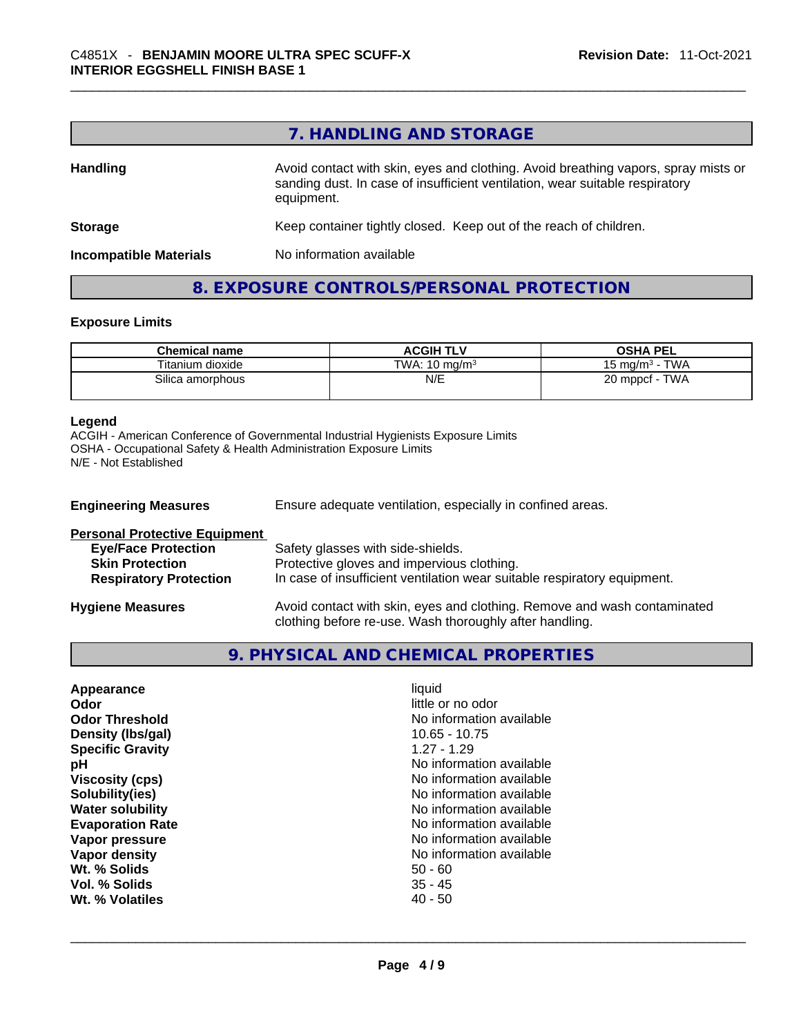# **7. HANDLING AND STORAGE**

| <b>Handling</b>               | Avoid contact with skin, eyes and clothing. Avoid breathing vapors, spray mists or<br>sanding dust. In case of insufficient ventilation, wear suitable respiratory<br>equipment. |  |
|-------------------------------|----------------------------------------------------------------------------------------------------------------------------------------------------------------------------------|--|
| <b>Storage</b>                | Keep container tightly closed. Keep out of the reach of children.                                                                                                                |  |
| <b>Incompatible Materials</b> | No information available                                                                                                                                                         |  |

## **8. EXPOSURE CONTROLS/PERSONAL PROTECTION**

#### **Exposure Limits**

| <b>Chemical name</b> | <b>ACGIH TLV</b>         | <b>OSHA PEL</b>       |
|----------------------|--------------------------|-----------------------|
| Titanium dioxide     | TWA: $10 \text{ ma/m}^3$ | TWA<br>15 ma/m $^3$ · |
| Silica amorphous     | N/E                      | TWA<br>$20$ mppcf -   |

#### **Legend**

ACGIH - American Conference of Governmental Industrial Hygienists Exposure Limits OSHA - Occupational Safety & Health Administration Exposure Limits N/E - Not Established

| <b>Engineering Measures</b>          | Ensure adequate ventilation, especially in confined areas.                                                                          |
|--------------------------------------|-------------------------------------------------------------------------------------------------------------------------------------|
| <b>Personal Protective Equipment</b> |                                                                                                                                     |
| <b>Eye/Face Protection</b>           | Safety glasses with side-shields.                                                                                                   |
| <b>Skin Protection</b>               | Protective gloves and impervious clothing.                                                                                          |
| <b>Respiratory Protection</b>        | In case of insufficient ventilation wear suitable respiratory equipment.                                                            |
| <b>Hygiene Measures</b>              | Avoid contact with skin, eyes and clothing. Remove and wash contaminated<br>clothing before re-use. Wash thoroughly after handling. |

# **9. PHYSICAL AND CHEMICAL PROPERTIES**

| Appearance              | liquid                   |  |
|-------------------------|--------------------------|--|
| Odor                    | little or no odor        |  |
| <b>Odor Threshold</b>   | No information available |  |
| Density (Ibs/gal)       | $10.65 - 10.75$          |  |
| <b>Specific Gravity</b> | $1.27 - 1.29$            |  |
| рH                      | No information available |  |
| <b>Viscosity (cps)</b>  | No information available |  |
| Solubility(ies)         | No information available |  |
| <b>Water solubility</b> | No information available |  |
| <b>Evaporation Rate</b> | No information available |  |
| Vapor pressure          | No information available |  |
| Vapor density           | No information available |  |
| Wt. % Solids            | $50 - 60$                |  |
| Vol. % Solids           | $35 - 45$                |  |
| Wt. % Volatiles         | $40 - 50$                |  |
|                         |                          |  |
|                         |                          |  |
|                         |                          |  |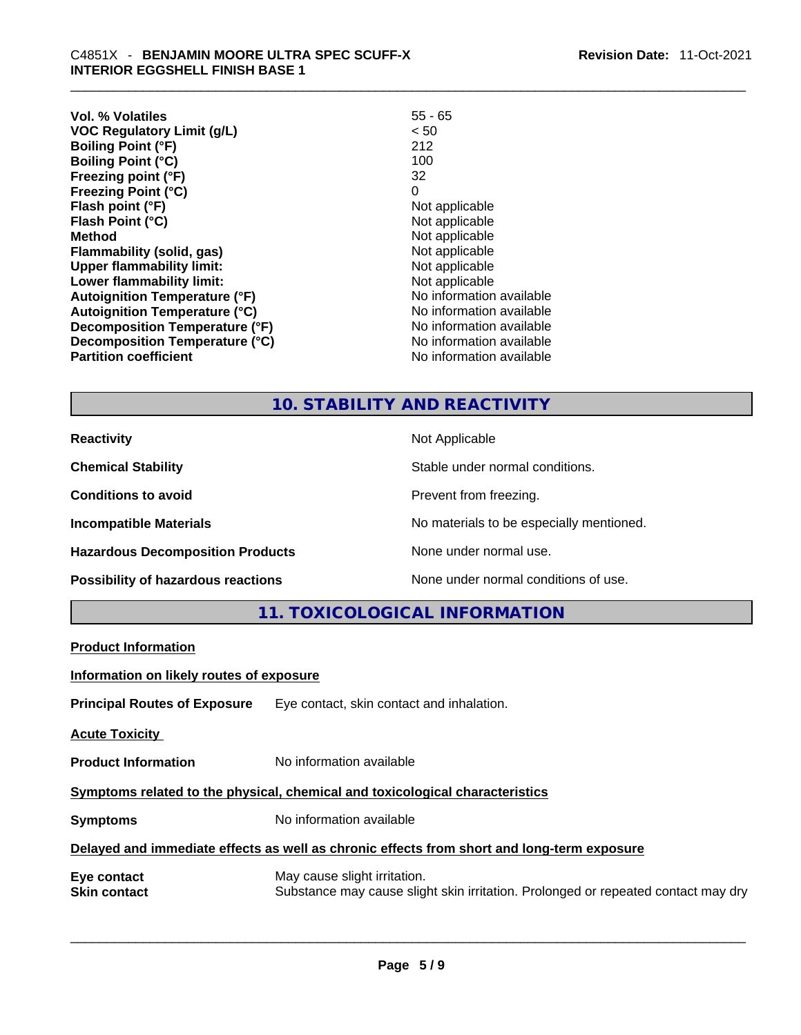| Vol. % Volatiles                     | $55 - 65$                |
|--------------------------------------|--------------------------|
| <b>VOC Regulatory Limit (g/L)</b>    | < 50                     |
| <b>Boiling Point (°F)</b>            | 212                      |
| <b>Boiling Point (°C)</b>            | 100                      |
| Freezing point (°F)                  | 32                       |
| <b>Freezing Point (°C)</b>           | 0                        |
| Flash point (°F)                     | Not applicable           |
| Flash Point (°C)                     | Not applicable           |
| <b>Method</b>                        | Not applicable           |
| Flammability (solid, gas)            | Not applicable           |
| <b>Upper flammability limit:</b>     | Not applicable           |
| Lower flammability limit:            | Not applicable           |
| <b>Autoignition Temperature (°F)</b> | No information available |
| <b>Autoignition Temperature (°C)</b> | No information available |
| Decomposition Temperature (°F)       | No information available |
| Decomposition Temperature (°C)       | No information available |
| <b>Partition coefficient</b>         | No information available |
|                                      |                          |

# **10. STABILITY AND REACTIVITY**

| <b>Reactivity</b>                         | Not Applicable                           |
|-------------------------------------------|------------------------------------------|
| <b>Chemical Stability</b>                 | Stable under normal conditions.          |
| <b>Conditions to avoid</b>                | Prevent from freezing.                   |
| <b>Incompatible Materials</b>             | No materials to be especially mentioned. |
| <b>Hazardous Decomposition Products</b>   | None under normal use.                   |
| <b>Possibility of hazardous reactions</b> | None under normal conditions of use.     |

**11. TOXICOLOGICAL INFORMATION** 

| <b>Product Information</b>                                                                 |                                                                                                                   |  |  |  |
|--------------------------------------------------------------------------------------------|-------------------------------------------------------------------------------------------------------------------|--|--|--|
| Information on likely routes of exposure                                                   |                                                                                                                   |  |  |  |
|                                                                                            | <b>Principal Routes of Exposure</b> Eye contact, skin contact and inhalation.                                     |  |  |  |
| <b>Acute Toxicity</b>                                                                      |                                                                                                                   |  |  |  |
| <b>Product Information</b>                                                                 | No information available                                                                                          |  |  |  |
| Symptoms related to the physical, chemical and toxicological characteristics               |                                                                                                                   |  |  |  |
| <b>Symptoms</b>                                                                            | No information available                                                                                          |  |  |  |
| Delayed and immediate effects as well as chronic effects from short and long-term exposure |                                                                                                                   |  |  |  |
| Eye contact<br><b>Skin contact</b>                                                         | May cause slight irritation.<br>Substance may cause slight skin irritation. Prolonged or repeated contact may dry |  |  |  |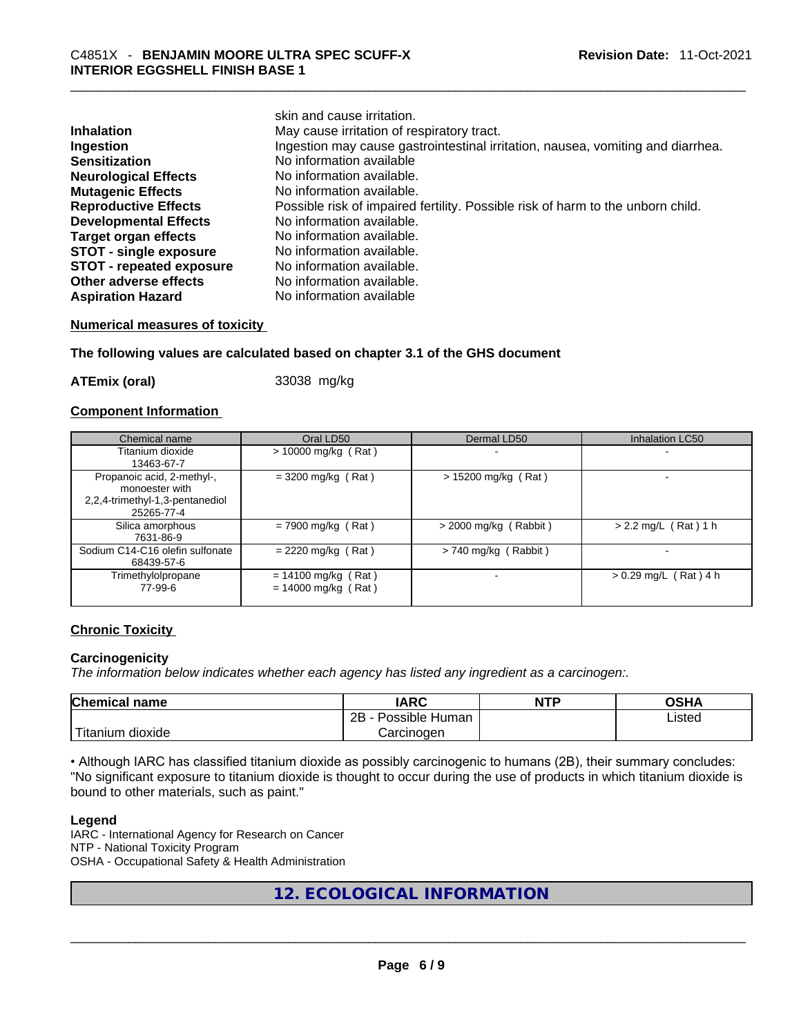|                                 | skin and cause irritation.                                                      |
|---------------------------------|---------------------------------------------------------------------------------|
| <b>Inhalation</b>               | May cause irritation of respiratory tract.                                      |
| Ingestion                       | Ingestion may cause gastrointestinal irritation, nausea, vomiting and diarrhea. |
| <b>Sensitization</b>            | No information available                                                        |
| <b>Neurological Effects</b>     | No information available.                                                       |
| <b>Mutagenic Effects</b>        | No information available.                                                       |
| <b>Reproductive Effects</b>     | Possible risk of impaired fertility. Possible risk of harm to the unborn child. |
| <b>Developmental Effects</b>    | No information available.                                                       |
| <b>Target organ effects</b>     | No information available.                                                       |
| <b>STOT - single exposure</b>   | No information available.                                                       |
| <b>STOT - repeated exposure</b> | No information available.                                                       |
| Other adverse effects           | No information available.                                                       |
| <b>Aspiration Hazard</b>        | No information available                                                        |

#### **Numerical measures of toxicity**

#### **The following values are calculated based on chapter 3.1 of the GHS document**

**ATEmix (oral)** 33038 mg/kg

#### **Component Information**

| Chemical name                                                                                 | Oral LD50                                      | Dermal LD50             | <b>Inhalation LC50</b>  |
|-----------------------------------------------------------------------------------------------|------------------------------------------------|-------------------------|-------------------------|
| Titanium dioxide<br>13463-67-7                                                                | $> 10000$ mg/kg (Rat)                          |                         |                         |
| Propanoic acid, 2-methyl-,<br>monoester with<br>2,2,4-trimethyl-1,3-pentanediol<br>25265-77-4 | $= 3200$ mg/kg (Rat)                           | $> 15200$ mg/kg (Rat)   |                         |
| Silica amorphous<br>7631-86-9                                                                 | $= 7900$ mg/kg (Rat)                           | $>$ 2000 mg/kg (Rabbit) | $> 2.2$ mg/L (Rat) 1 h  |
| Sodium C14-C16 olefin sulfonate<br>68439-57-6                                                 | $= 2220$ mg/kg (Rat)                           | $> 740$ mg/kg (Rabbit)  |                         |
| Trimethylolpropane<br>77-99-6                                                                 | $= 14100$ mg/kg (Rat)<br>$= 14000$ mg/kg (Rat) |                         | $> 0.29$ mg/L (Rat) 4 h |

## **Chronic Toxicity**

## **Carcinogenicity**

*The information below indicates whether each agency has listed any ingredient as a carcinogen:.* 

| <b>Chemical name</b> | IARC                 | <b>NTP</b> | OSHA   |
|----------------------|----------------------|------------|--------|
|                      | 2B<br>Possible Human |            | Listed |
| Titanium<br>dioxide  | <i>ت</i> arcinoɑen   |            |        |

• Although IARC has classified titanium dioxide as possibly carcinogenic to humans (2B), their summary concludes: "No significant exposure to titanium dioxide is thought to occur during the use of products in which titanium dioxide is bound to other materials, such as paint."

#### **Legend**

IARC - International Agency for Research on Cancer NTP - National Toxicity Program OSHA - Occupational Safety & Health Administration

# **12. ECOLOGICAL INFORMATION**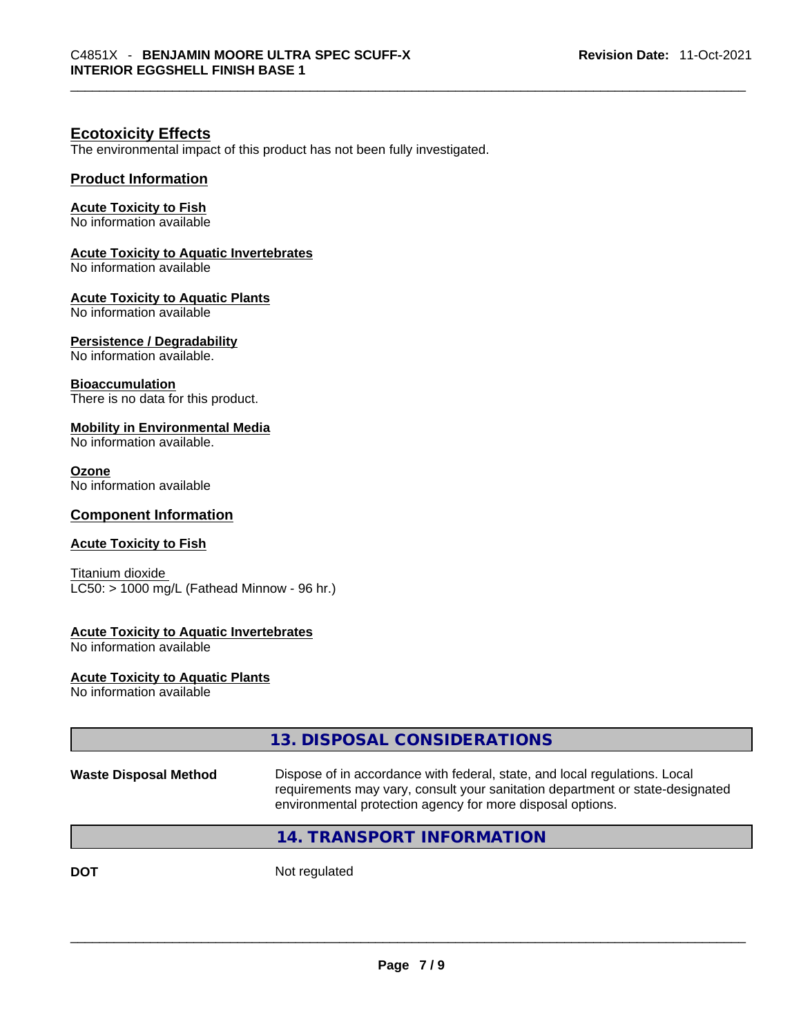## **Ecotoxicity Effects**

The environmental impact of this product has not been fully investigated.

## **Product Information**

## **Acute Toxicity to Fish**

No information available

## **Acute Toxicity to Aquatic Invertebrates**

No information available

## **Acute Toxicity to Aquatic Plants**

No information available

## **Persistence / Degradability**

No information available.

## **Bioaccumulation**

There is no data for this product.

## **Mobility in Environmental Media**

No information available.

#### **Ozone**

No information available

## **Component Information**

## **Acute Toxicity to Fish**

Titanium dioxide  $LC50:$  > 1000 mg/L (Fathead Minnow - 96 hr.)

## **Acute Toxicity to Aquatic Invertebrates**

No information available

**Acute Toxicity to Aquatic Plants** No information available

|                              | 13. DISPOSAL CONSIDERATIONS                                                                                                                                                                                               |
|------------------------------|---------------------------------------------------------------------------------------------------------------------------------------------------------------------------------------------------------------------------|
| <b>Waste Disposal Method</b> | Dispose of in accordance with federal, state, and local regulations. Local<br>requirements may vary, consult your sanitation department or state-designated<br>environmental protection agency for more disposal options. |
|                              | 14. TRANSPORT INFORMATION                                                                                                                                                                                                 |
| <b>DOT</b>                   | Not regulated                                                                                                                                                                                                             |
|                              |                                                                                                                                                                                                                           |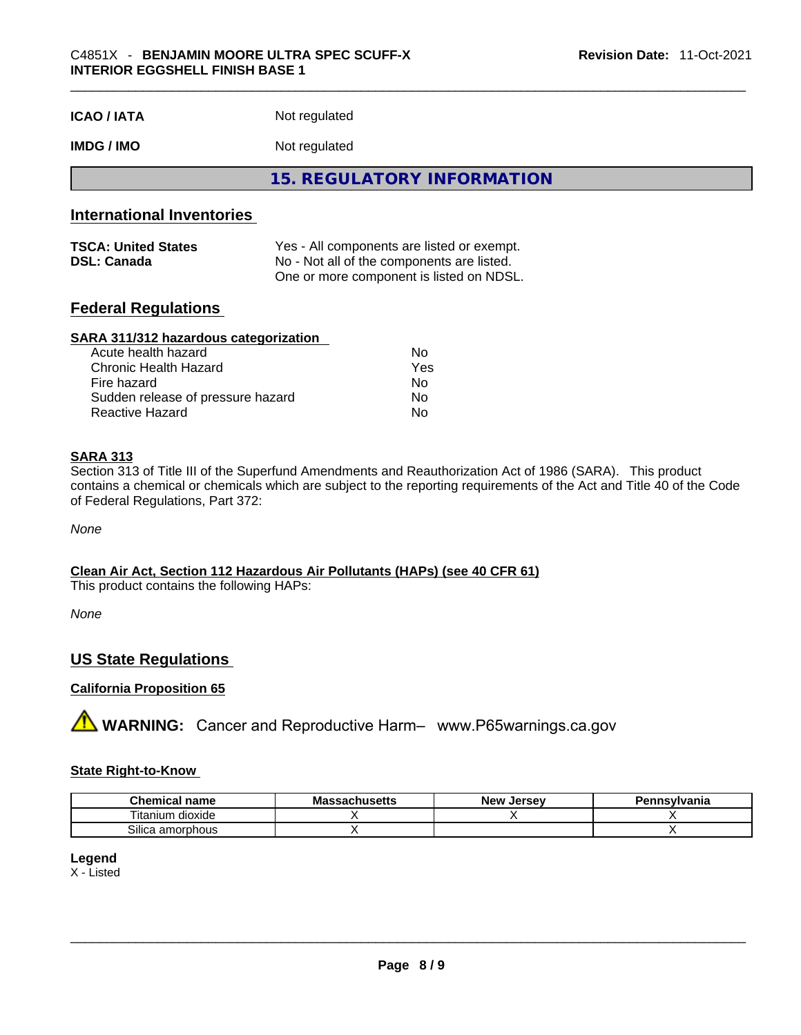| <b>ICAO/IATA</b> | Not regulated |  |
|------------------|---------------|--|
|------------------|---------------|--|

## **IMDG / IMO** Not regulated

**15. REGULATORY INFORMATION** 

## **International Inventories**

| <b>TSCA: United States</b> | Yes - All components are listed or exempt. |
|----------------------------|--------------------------------------------|
| <b>DSL: Canada</b>         | No - Not all of the components are listed. |
|                            | One or more component is listed on NDSL.   |

## **Federal Regulations**

#### **SARA 311/312 hazardous categorization**

| Acute health hazard               | No. |  |
|-----------------------------------|-----|--|
| Chronic Health Hazard             | Yes |  |
| Fire hazard                       | Nο  |  |
| Sudden release of pressure hazard | No. |  |
| Reactive Hazard                   | Nο  |  |

## **SARA 313**

Section 313 of Title III of the Superfund Amendments and Reauthorization Act of 1986 (SARA). This product contains a chemical or chemicals which are subject to the reporting requirements of the Act and Title 40 of the Code of Federal Regulations, Part 372:

*None*

**Clean Air Act,Section 112 Hazardous Air Pollutants (HAPs) (see 40 CFR 61)** This product contains the following HAPs:

*None*

## **US State Regulations**

## **California Proposition 65**

**AVIMARNING:** Cancer and Reproductive Harm– www.P65warnings.ca.gov

#### **State Right-to-Know**

| Chemical<br>l name     | <b>Massachusetts</b> | . Jersev<br><b>New</b> | Pennsylvania |
|------------------------|----------------------|------------------------|--------------|
| <br>dioxide<br>itanium |                      |                        |              |
| Silica<br>amorphous    |                      |                        |              |

#### **Legend** X - Listed